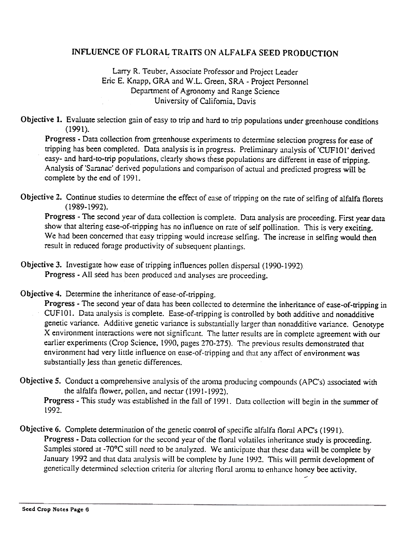## INFLUENCE OF FLORAL TRAITS ON ALFALFA SEED PRODUCTION

## Larry R. Teuber, Associate Professor and Project Leader Eric E. Knapp, GRA and W.L. Green, SRA - Project Personnel Department of Agronomy and Range Science University of California. Davis

Objective I. Evaluate selection gain of easy to trip and hard to trip populations under greenhouse conditions (1991).

Progress -Data collection from greenhouse experiments to determine selection progress for ease of tripping has been completed. Data analysis is in progress. Preliminary analysis of 'CUF101 ' derived easy- and hard-to-trip populations, clearly shows these populations are different in ease of tripping. Analysis of 'Saranac' derived populations and comparison of actual and predicted progress will be complete by the end of 1991.

Objective 2. Continue studies to determine the effect of ease of tripping on the rate of selfing of alfalfa florets ( 1989-1992).

Progress -The second year of data collection is complete. Duta analysis are proceeding. First year data show that altering ease-of-tripping has no influence on rate of self pollination. This is very exciting. We had been concerned that easy tripping would increase selfing. The increase in selfing would then result in reduced forage productivity of subsequent plantings.

- Objective 3. Investigate how euse of tripping influences pollen dispersal (1990-1992) Progress - All seed has been produced and analyses are proceeding.
- Objective 4. Determine the inheritance of ease-of-tripping.

Progress - The second year of data has been collected to determine the inheritance of ease-of-tripping in CUF101. Data analysis is complete. Ease-of-tripping is controlled by both additive and nonadditive genetic variance. Additive genetic variance is substantially larger than nonadditive variance. Genotype X environment interactions were not significant. The latter results are in complete agreement with our earlier experiments (Crop Science, 1990, pages 270-275). The previous results demonstrated that environment had very little influence on ease-of-tripping and that any affect of environment was substantially less than genetic differences.

Objective 5. Conduct a comprehensive analysis of the aroma producing compounds (APC's) associated with the alfalfa flower, pollen, and nectar  $(1991-1992)$ .

Progress - This study was established in the fall of 1991. Data collection will begin in the summer of 1992.

Objective 6. Complete determination of the genetic control of specific alfalfa floral APC's (1991). Progress - Data collection for the second year of the floral volatiles inheritance study is proceeding. Samples stored at -70°C still need to be analyzed. We anticipate that these data will be complete by January 1992 and that data analysis will be complete by June 1992. This will permit development of genetically determined selection criteria for altering floral aroma to enhance honey bee activity. -